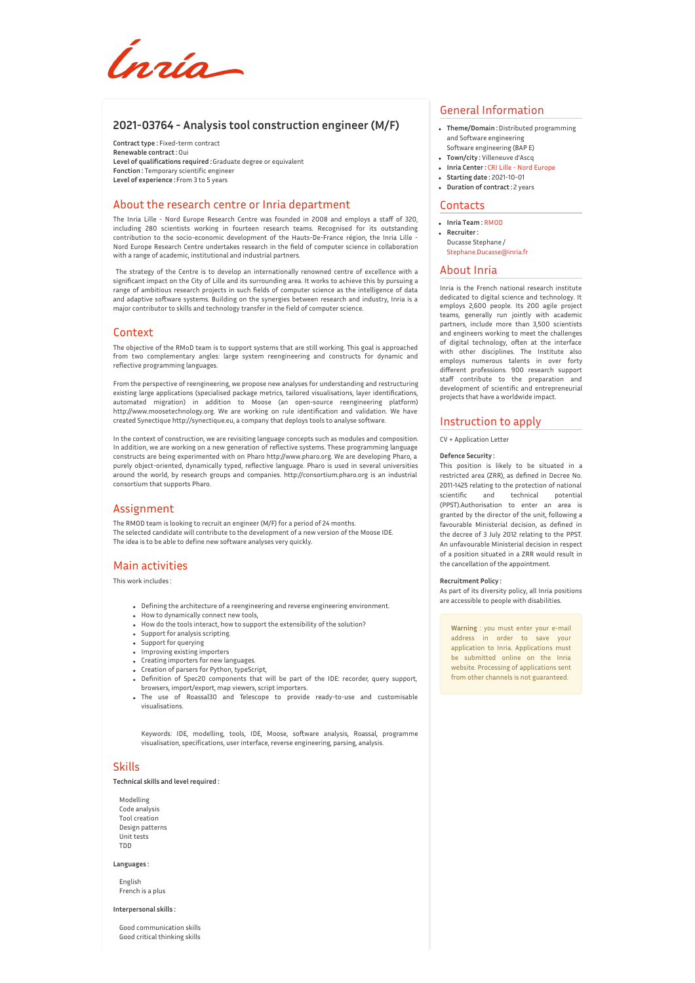*Inrío* 

## **2021-03764 - Analysis tool construction engineer (M/F)**

**Contract type :** Fixed-term contract **Renewable contract :**Oui **Level of qualifications required :**Graduate degree or equivalent **Fonction :** Temporary scientific engineer **Level of experience :** From 3 to 5 years

### About the research centre or Inria department

The Inria Lille - Nord Europe Research Centre was founded in 2008 and employs a staff of 320, including 280 scientists working in fourteen research teams. Recognised for its outstanding contribution to the socio-economic development of the Hauts-De-France région, the Inria Lille - Nord Europe Research Centre undertakes research in the field of computer science in collaboration with a range of academic, institutional and industrial partners.

The strategy of the Centre is to develop an internationally renowned centre of excellence with a significant impact on the City of Lille and its surrounding area. It works to achieve this by pursuing a range of ambitious research projects in such fields of computer science as the intelligence of data and adaptive software systems. Building on the synergies between research and industry, Inria is a major contributor to skills and technology transfer in the field of computer science.

### Context

The objective of the RMoD team is to support systems that are still working. This goal is approached from two complementary angles: large system reengineering and constructs for dynamic and reflective programming languages.

From the perspective of reengineering, we propose new analyses for understanding and restructuring existing large applications (specialised package metrics, tailored visualisations, layer identifications, automated migration) in addition to Moose (an open-source reengineering platform) http://www.moosetechnology.org. We are working on rule identification and validation. We have created Synectique http://synectique.eu, a company that deploys tools to analyse software.

In the context of construction, we are revisiting language concepts such as modules and composition. In addition, we are working on a new generation of reflective systems. These programming language constructs are being experimented with on Pharo http://www.pharo.org. We are developing Pharo, a purely object-oriented, dynamically typed, reflective language. Pharo is used in several universities around the world, by research groups and companies. http://consortium.pharo.org is an industrial consortium that supports Pharo.

## Assignment

The RMOD team is looking to recruit an engineer (M/F) for a period of 24 months. The selected candidate will contribute to the development of a new version of the Moose IDE. The idea is to be able to define new software analyses very quickly.

## Main activities

This work includes :

- Defining the architecture of a reengineering and reverse engineering environment.
- How to dynamically connect new tools,
- How do the tools interact, how to support the extensibility of the solution?
- Support for analysis scripting.
- Support for querying
- Improving existing importers
- Creating importers for new languages. Creation of parsers for Python, typeScript,
- Definition of Spec20 components that will be part of the IDE: recorder, query support, browsers, import/export, map viewers, script importers.
- The use of Roassal30 and Telescope to provide ready-to-use and customisable visualisations.

Keywords: IDE, modelling, tools, IDE, Moose, software analysis, Roassal, programme visualisation, specifications, user interface, reverse engineering, parsing, analysis.

### Skills

**Technical skills and level required :**

Modelling Code analysis Tool creation Design patterns Unit tests TDD

#### **Languages :**

English French is a plus

#### **Interpersonal skills :**

Good communication skills Good critical thinking skills

# General Information

- **Theme/Domain :**Distributed programming and Software engineering
- Software engineering (BAP E) **Town/city :** Villeneuve d'Ascq
- **Inria Center :** CRI Lille Nord [Europe](http://www.inria.fr/centre/lille)
- **Starting date :** 2021-10-01
- **Duration of contract :** 2 years

#### **Contacts**

- **Inria Team :**[RMOD](https://www.inria.fr/equipes/RMOD)
- **Recruiter :** Ducasse Stephane / [Stephane.Ducasse@inria.fr](mailto:Stephane.Ducasse@inria.fr)
- 

### About Inria

Inria is the French national research institute dedicated to digital science and technology. It employs 2,600 people. Its 200 agile project teams, generally run jointly with academic partners, include more than 3,500 scientists and engineers working to meet the challenges of digital technology, often at the interface with other disciplines. The Institute also employs numerous talents in over forty different professions. 900 research support staff contribute to the preparation and development of scientific and entrepreneurial projects that have a worldwide impact.

### Instruction to apply

CV + Application Letter

#### **Defence Security :**

This position is likely to be situated in a restricted area (ZRR), as defined in Decree No. 2011-1425 relating to the protection of national scientific and technical (PPST).Authorisation to enter an area is granted by the director of the unit, following a favourable Ministerial decision, as defined in the decree of 3 July 2012 relating to the PPST. An unfavourable Ministerial decision in respect of a position situated in a ZRR would result in the cancellation of the appointment.

### **Recruitment Policy :**

As part of its diversity policy, all Inria positions are accessible to people with disabilities.

**Warning** : you must enter your e-mail address in order to save your application to Inria. Applications must be submitted online on the Inria website. Processing of applications sent from other channels is not guaranteed.